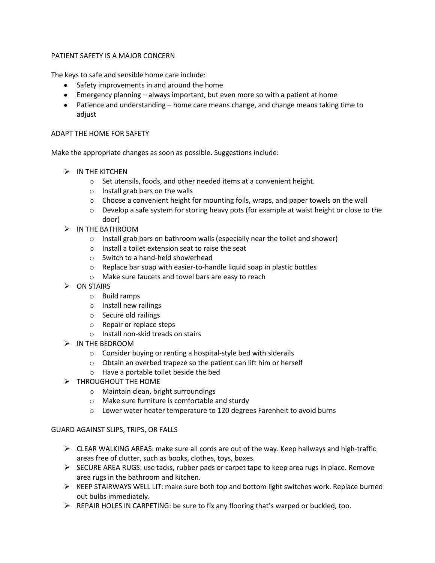## PATIENT SAFETY IS A MAJOR CONCERN

The keys to safe and sensible home care include:

- Safety improvements in and around the home
- Emergency planning always important, but even more so with a patient at home
- Patience and understanding home care means change, and change means taking time to adjust

## ADAPT THE HOME FOR SAFETY

Make the appropriate changes as soon as possible. Suggestions include:

- $>$  IN THE KITCHEN
	- o Set utensils, foods, and other needed items at a convenient height.
	- o Install grab bars on the walls
	- $\circ$  Choose a convenient height for mounting foils, wraps, and paper towels on the wall
	- o Develop a safe system for storing heavy pots (for example at waist height or close to the door)
- IN THE BATHROOM
	- o Install grab bars on bathroom walls (especially near the toilet and shower)
	- o Install a toilet extension seat to raise the seat
	- o Switch to a hand-held showerhead
	- o Replace bar soap with easier-to-handle liquid soap in plastic bottles
	- o Make sure faucets and towel bars are easy to reach
- $\triangleright$  ON STAIRS
	- o Build ramps
	- o Install new railings
	- o Secure old railings
	- o Repair or replace steps
	- o Install non-skid treads on stairs
- IN THE BEDROOM
	- o Consider buying or renting a hospital-style bed with siderails
	- o Obtain an overbed trapeze so the patient can lift him or herself
	- o Have a portable toilet beside the bed
- > THROUGHOUT THE HOME
	- o Maintain clean, bright surroundings
	- o Make sure furniture is comfortable and sturdy
	- o Lower water heater temperature to 120 degrees Farenheit to avoid burns

## GUARD AGAINST SLIPS, TRIPS, OR FALLS

- $\triangleright$  CLEAR WALKING AREAS: make sure all cords are out of the way. Keep hallways and high-traffic areas free of clutter, such as books, clothes, toys, boxes.
- $\triangleright$  SECURE AREA RUGS: use tacks, rubber pads or carpet tape to keep area rugs in place. Remove area rugs in the bathroom and kitchen.
- $\triangleright$  KEEP STAIRWAYS WELL LIT: make sure both top and bottom light switches work. Replace burned out bulbs immediately.
- $\triangleright$  REPAIR HOLES IN CARPETING: be sure to fix any flooring that's warped or buckled, too.